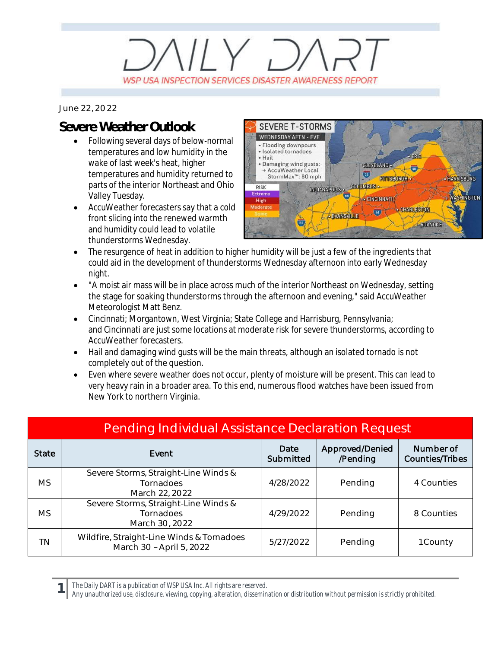## $\parallel$  Y  $\Box$ WSP USA INSPECTION SERVICES DISASTER AWARENESS REPORT

*June 22, 2022*

## **Severe Weather Outlook**

- · Following several days of below-normal temperatures and low humidity in the wake of last week's heat, higher temperatures and humidity returned to parts of the interior Northeast and Ohio Valley Tuesday.
- AccuWeather forecasters say that a cold front slicing into the renewed warmth and humidity could lead to volatile thunderstorms Wednesday.



- · The resurgence of heat in addition to higher humidity will be just a few of the ingredients that could aid in the development of thunderstorms Wednesday afternoon into early Wednesday night.
- · "A moist air mass will be in place across much of the interior Northeast on Wednesday, setting the stage for soaking thunderstorms through the afternoon and evening," said AccuWeather Meteorologist Matt Benz.
- · Cincinnati; Morgantown, West Virginia; State College and Harrisburg, Pennsylvania; and Cincinnati are just some locations at moderate risk for severe thunderstorms, according to AccuWeather forecasters.
- Hail and damaging wind gusts will be the main threats, although an isolated tornado is not completely out of the question.
- · Even where severe weather does not occur, plenty of moisture will be present. This can lead to very heavy rain in a broader area. To this end, numerous flood watches have been issued from New York to northern Virginia.

| <b>Pending Individual Assistance Declaration Request</b> |                                                                       |                   |                             |                                     |  |  |
|----------------------------------------------------------|-----------------------------------------------------------------------|-------------------|-----------------------------|-------------------------------------|--|--|
| <b>State</b>                                             | Event                                                                 | Date<br>Submitted | Approved/Denied<br>/Pending | Number of<br><b>Counties/Tribes</b> |  |  |
| <b>MS</b>                                                | Severe Storms, Straight-Line Winds &<br>Tornadoes<br>March 22, 2022   | 4/28/2022         | Pending                     | 4 Counties                          |  |  |
| <b>MS</b>                                                | Severe Storms, Straight-Line Winds &<br>Tornadoes<br>March 30, 2022   | 4/29/2022         | Pending                     | 8 Counties                          |  |  |
| TN                                                       | Wildfire, Straight-Line Winds & Tornadoes<br>March 30 - April 5, 2022 | 5/27/2022         | Pending                     | 1 County                            |  |  |

*The Daily DART is a publication of WSP USA Inc. All rights are reserved.*

**1**

*Any unauthorized use, disclosure, viewing, copying, alteration, dissemination or distribution without permission is strictly prohibited.*